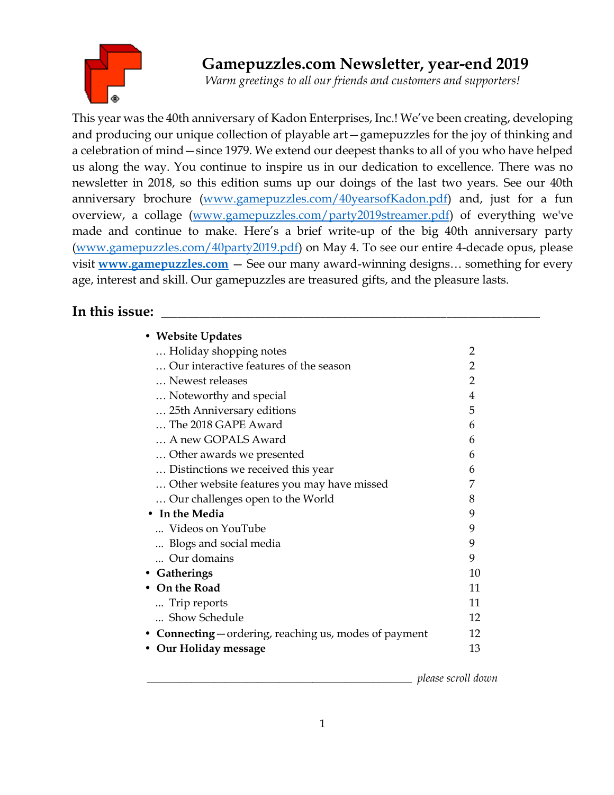

# **Gamepuzzles.com Newsletter, year-end 2019**

*Warm greetings to all our friends and customers and supporters!*

This year was the 40th anniversary of Kadon Enterprises, Inc.! We've been creating, developing and producing our unique collection of playable art—gamepuzzles for the joy of thinking and a celebration of mind—since 1979. We extend our deepest thanks to all of you who have helped us along the way. You continue to inspire us in our dedication to excellence. There was no newsletter in 2018, so this edition sums up our doings of the last two years. See our 40th anniversary brochure [\(www.gamepuzzles.com/40yearsofKadon.pdf\)](http://www.gamepuzzles.com/40yearsofKadon.pdf) and, just for a fun overview, a collage [\(www.gamepuzzles.com/party2019streamer.pdf\)](http://www.gamepuzzles.com/party2019streamer.pdf) of everything we've made and continue to make. Here's a brief write-up of the big 40th anniversary party [\(www.gamepuzzles.com/40party2019.pdf\)](http://www.gamepuzzles.com/40party2019.pdf) on May 4. To see our entire 4-decade opus, please visit **[www.gamepuzzles.com](http://www.gamepuzzles.com/)** — See our many award-winning designs… something for every age, interest and skill. Our gamepuzzles are treasured gifts, and the pleasure lasts.

## In this issue:

| • Website Updates                                      |    |
|--------------------------------------------------------|----|
| Holiday shopping notes                                 | 2  |
| Our interactive features of the season                 | 2  |
| Newest releases                                        | 2  |
| Noteworthy and special                                 | 4  |
| 25th Anniversary editions                              | 5  |
| The 2018 GAPE Award                                    | 6  |
| A new GOPALS Award                                     | 6  |
| Other awards we presented                              | 6  |
| Distinctions we received this year.                    | 6  |
| Other website features you may have missed             | 7  |
| Our challenges open to the World                       | 8  |
| • In the Media                                         | 9  |
| Videos on YouTube                                      | 9  |
| Blogs and social media                                 | 9  |
| Our domains                                            | 9  |
| • Gatherings                                           | 10 |
| • On the Road                                          | 11 |
| Trip reports                                           | 11 |
| Show Schedule                                          | 12 |
| • Connecting — ordering, reaching us, modes of payment | 12 |
| • Our Holiday message                                  | 13 |
|                                                        |    |

\_\_\_\_\_\_\_\_\_\_\_\_\_\_\_\_\_\_\_\_\_\_\_\_\_\_\_\_\_\_\_\_\_\_\_\_\_\_\_\_\_\_\_\_\_\_\_\_ *please scroll down*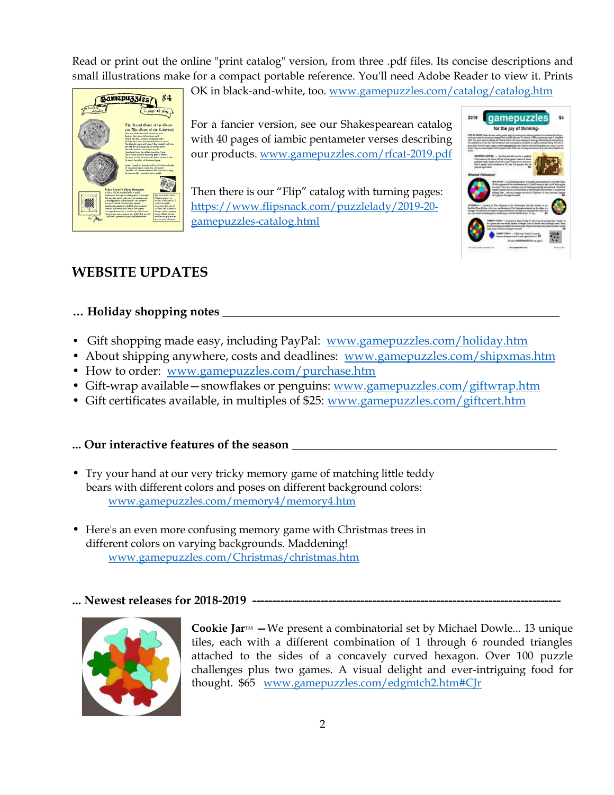Read or print out the online "print catalog" version, from three .pdf files. Its concise descriptions and small illustrations make for a compact portable reference. You'll need Adobe Reader to view it. Prints

OK in black-and-white, too. [www.gamepuzzles.com/catalog/catalog.htm](http://www.gamepuzzles.com/catalog/catalog.htm)



For a fancier version, see our Shakespearean catalog with 40 pages of iambic pentameter verses describing our products. [www.gamepuzzles.com/rfcat-2019.pdf](http://www.gamepuzzles.com/rfcat-2019.pdf)

Then there is our "Flip" catalog with turning pages: https://www.flipsnack.com/puzzlelady/2019-20 gamepuzzles-catalog.html



## **WEBSITE UPDATES**

## **… Holiday shopping notes \_\_\_\_\_\_\_\_\_\_\_\_\_\_\_\_\_\_\_\_\_\_\_\_\_\_\_\_\_\_\_\_\_\_\_\_\_\_\_\_\_\_\_\_\_\_\_\_\_\_\_\_\_\_\_\_**

- Gift shopping made easy, including PayPal: [www.gamepuzzles.com/holiday.htm](http://www.gamepuzzles.com/holiday.htm)
- About shipping anywhere, costs and deadlines: www.gamepuzzles.com/shipxmas.htm
- How to order: [www.gamepuzzles.com/purchase.htm](http://www.gamepuzzles.com/purchase.htm)
- Gift-wrap available snowflakes or penguins: [www.gamepuzzles.com/giftwrap.htm](http://www.gamepuzzles.com/giftwrap.htm)
- Gift certificates available, in multiples of \$25: [www.gamepuzzles.com/giftcert.htm](http://www.gamepuzzles.com/giftcert.htm)

## **... Our interactive features of the season \_\_\_\_\_\_\_\_\_\_\_\_\_\_\_\_\_\_\_\_\_\_\_\_\_\_\_\_\_\_\_\_\_\_\_\_\_\_\_\_\_\_\_\_**

- Try your hand at our very tricky memory game of matching little teddy bears with different colors and poses on different background colors: [www.gamepuzzles.com/memory4/memory4.htm](http://www.gamepuzzles.com/memory4/memory4.htm)
- Here's an even more confusing memory game with Christmas trees in different colors on varying backgrounds. Maddening! [www.gamepuzzles.com/Christmas/christmas.htm](http://www.gamepuzzles.com/Christmas/christmas.htm)

### ... Newest releases for 2018-2019 -----



**Cookie Jar<sup>M</sup>** – We present a combinatorial set by Michael Dowle... 13 unique tiles, each with a different combination of 1 through 6 rounded triangles attached to the sides of a concavely curved hexagon. Over 100 puzzle challenges plus two games. A visual delight and ever-intriguing food for thought. \$65 [www.gamepuzzles.com/edgmtch2.htm#CJr](http://www.gamepuzzles.com/edgmtch2.htm#CJr)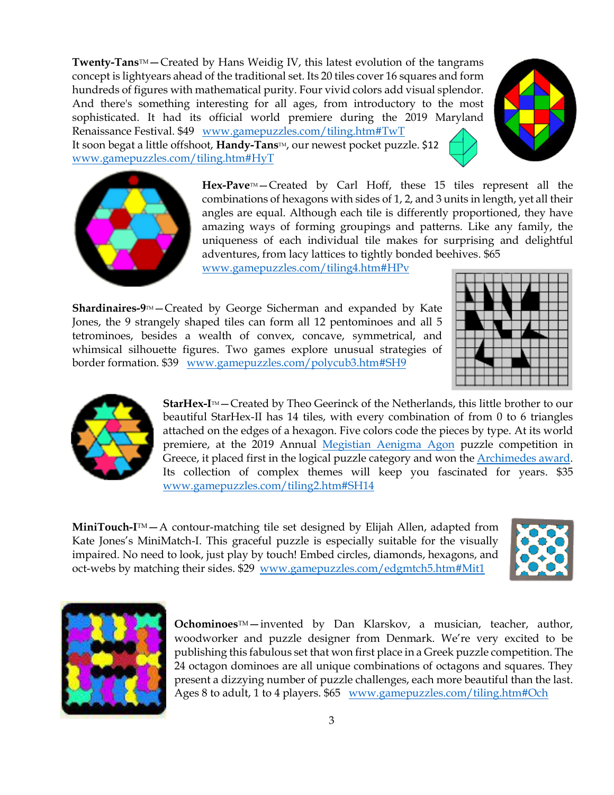**[Twenty-Tans](file:///C:/Users/Kate/Documents/kadonweb/website/tiling4.htm%23HPv)**[TM](file:///C:/Users/Kate/Documents/kadonweb/website/tiling4.htm%23HPv)—Created by Hans Weidig IV, this latest evolution of the tangrams concept is lightyears ahead of the traditional set. Its 20 tiles cover 16 squares and form hundreds of figures with mathematical purity. Four vivid colors add visual splendor. And there's something interesting for all ages, from introductory to the most sophisticated. It had its official world premiere during the 2019 Maryland Renaissance Festival. \$49 [www.gamepuzzles.com/tiling.htm#TwT](http://www.gamepuzzles.com/tiling.htm#TwT) It soon begat a little offshoot, **[Handy-Tans](file:///C:/Users/Kate/Documents/kadonweb/website/tiling.htm%23HyT)**<sup>M</sup>, our newest pocket puzzle. \$12 [www.gamepuzzles.com/tiling.htm#HyT](http://www.gamepuzzles.com/tiling.htm#HyT)





Hex-Pave<sup>TM</sup> – Created by Carl Hoff, these 15 tiles represent all the combinations of hexagons with sides of 1, 2, and 3 units in length, yet all their angles are equal. Although each tile is differently proportioned, they have amazing ways of forming groupings and patterns. Like any family, the uniqueness of each individual tile makes for surprising and delightful adventures, from lacy lattices to tightly bonded beehives. \$65

[www.gamepuzzles.com/tiling4.htm#HPv](http://www.gamepuzzles.com/tiling4.htm#HPv)

**Shardinaires-9<sup>™</sup>** – Created by George Sicherman and expanded by Kate Jones, the 9 strangely shaped tiles can form all 12 pentominoes and all 5 tetrominoes, besides a wealth of convex, concave, symmetrical, and whimsical silhouette figures. Two games explore unusual strategies of border formation. \$39 [www.gamepuzzles.com/polycub3.htm#SH9](http://www.gamepuzzles.com/polycub3.htm#SH9)





**StarHex-I<sup>™</sup>—Created by Theo Geerinck of the Netherlands, this little brother to our** beautiful StarHex-II has 14 tiles, with every combination of from 0 to 6 triangles attached on the edges of a hexagon. Five colors code the pieces by type. At its world premiere, at the 2019 Annual [Megistian Aenigma Agon](http://www.kastellorizo.org/megisti/kastellorizo_net/MAA/) puzzle competition in Greece, it placed first in the logical puzzle category and won the **Archimedes award**. Its collection of complex themes will keep you fascinated for years. \$35 [www.gamepuzzles.com/tiling2.htm#SH14](http://www.gamepuzzles.com/tiling2.htm#SH14)

**MiniTouch-I**™ – A contour-matching tile set designed by Elijah Allen, adapted from Kate Jones's MiniMatch-I. This graceful puzzle is especially suitable for the visually impaired. No need to look, just play by touch! Embed circles, diamonds, hexagons, and oct-webs by matching their sides. \$29 [www.gamepuzzles.com/edgmtch5.htm#Mit1](http://www.gamepuzzles.com/edgmtch5.htm#Mit1)





**Ochominoes**TM—invented by Dan Klarskov, a musician, teacher, author, woodworker and puzzle designer from Denmark. We're very excited to be publishing this fabulous set that won first place in a Greek puzzle competition. The 24 octagon dominoes are all unique combinations of octagons and squares. They present a dizzying number of puzzle challenges, each more beautiful than the last. Ages 8 to adult, 1 to 4 players. \$65 [www.gamepuzzles.com/tiling.htm#Och](http://www.gamepuzzles.com/tiling.htm#Och)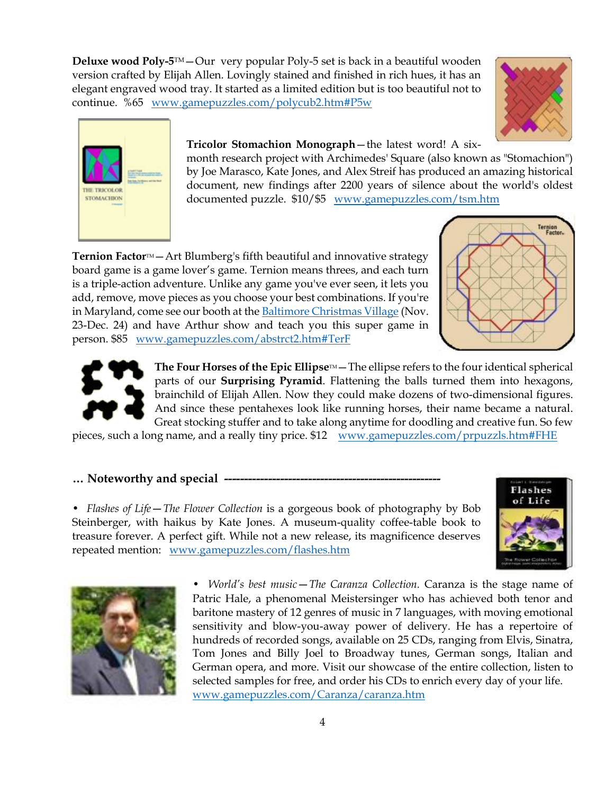**Deluxe wood Poly-5**TM—Our very popular Poly-5 set is back in a beautiful wooden version crafted by Elijah Allen. Lovingly stained and finished in rich hues, it has an elegant engraved wood tray. It started as a limited edition but is too beautiful not to continue. %65 [www.gamepuzzles.com/polycub2.htm#P5w](http://www.gamepuzzles.com/polycub2.htm#P5w) 





#### **Tricolor Stomachion Monograph**—the latest word! A six-

month research project with Archimedes' Square (also known as "Stomachion") by Joe Marasco, Kate Jones, and Alex Streif has produced an amazing historical document, new findings after 2200 years of silence about the world's oldest documented puzzle. \$10/\$5 [www.gamepuzzles.com/tsm.htm](http://www.gamepuzzles.com/tsm.htm)

**Ternion Factor**™—Art Blumberg's fifth beautiful and innovative strategy board game is a game lover's game. Ternion means threes, and each turn is a triple-action adventure. Unlike any game you've ever seen, it lets you add, remove, move pieces as you choose your best combinations. If you're in Maryland, come see our booth at the [Baltimore Christmas Village](http://www.baltimore-christmas.com/) (Nov. 23-Dec. 24) and have Arthur show and teach you this super game in person. \$85 [www.gamepuzzles.com/abstrct2.htm#TerF](http://www.gamepuzzles.com/abstrct2.htm#TerF)





**The Four Horses of the Epic Ellipse** $M_{\text{max}}$  – The ellipse refers to the four identical spherical parts of our **Surprising Pyramid**. Flattening the balls turned them into hexagons, brainchild of Elijah Allen. Now they could make dozens of two-dimensional figures. And since these pentahexes look like running horses, their name became a natural. Great stocking stuffer and to take along anytime for doodling and creative fun. So few

pieces, such a long name, and a really tiny price. \$12 [www.gamepuzzles.com/prpuzzls.htm#FHE](http://www.gamepuzzles.com/prpuzzls.htm#FHE)

#### **… Noteworthy and special ------------------------------------------------------**

• *Flashes of Life*—*The Flower Collection* is a gorgeous book of photography by Bob Steinberger, with haikus by Kate Jones. A museum-quality coffee-table book to treasure forever. A perfect gift. While not a new release, its magnificence deserves repeated mention: [www.gamepuzzles.com/flashes.htm](http://www.gamepuzzles.com/flashes.htm) 





• *World's best music*—*The Caranza Collection.* Caranza is the stage name of Patric Hale, a phenomenal Meistersinger who has achieved both tenor and baritone mastery of 12 genres of music in 7 languages, with moving emotional sensitivity and blow-you-away power of delivery. He has a repertoire of hundreds of recorded songs, available on 25 CDs, ranging from Elvis, Sinatra, Tom Jones and Billy Joel to Broadway tunes, German songs, Italian and German opera, and more. Visit our showcase of the entire collection, listen to selected samples for free, and order his CDs to enrich every day of your life. [www.gamepuzzles.com/Caranza/caranza.htm](http://www.gamepuzzles.com/Caranza/caranza.htm)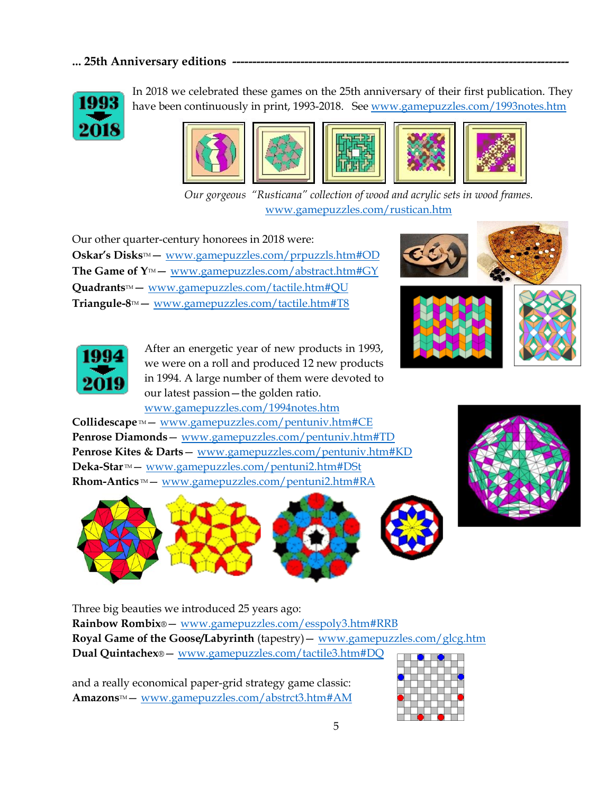## ... 25th Anniversary editions .



In 2018 we celebrated these games on the 25th anniversary of their first publication. They have been continuously in print, 1993-2018. See [www.gamepuzzles.com/1993notes.htm](http://www.gamepuzzles.com/1993notes.htm)









*Our gorgeous "Rusticana" collection of wood and acrylic sets in wood frames.* [www.gamepuzzles.com/rustican.htm](http://www.gamepuzzles.com/rustican.htm)

Our other quarter-century honorees in 2018 were: **Oskar's Disks™** — [www.gamepuzzles.com/prpuzzls.htm#OD](http://www.gamepuzzles.com/prpuzzls.htm#OD) **The Game of Y™**— [www.gamepuzzles.com/abstract.htm#GY](http://www.gamepuzzles.com/abstract.htm#GY) **Quadrants**TM— [www.gamepuzzles.com/tactile.htm#QU](http://www.gamepuzzles.com/tactile.htm#QU) **Triangule-8**TM— [www.gamepuzzles.com/tactile.htm#T8](http://www.gamepuzzles.com/tactile.htm#T8)



After an energetic year of new products in 1993, we were on a roll and produced 12 new products in 1994. A large number of them were devoted to our latest passion—the golden ratio. [www.gamepuzzles.com/1994notes.htm](http://www.gamepuzzles.com/1994notes.htm)

Collidescape<sup>™</sup> — [www.gamepuzzles.com/pentuniv.htm#CE](http://www.gamepuzzles.com/pentuniv.htm#CE) **Penrose Diamonds**— [www.gamepuzzles.com/pentuniv.htm#TD](http://www.gamepuzzles.com/pentuniv.htm#TD) **Penrose Kites & Darts**— [www.gamepuzzles.com/pentuniv.htm#KD](http://www.gamepuzzles.com/pentuniv.htm#KD) Deka-Star<sup>™</sup> — [www.gamepuzzles.com/pentuni2.htm#DSt](http://www.gamepuzzles.com/pentuni2.htm#DSt) **Rhom-Antics**™— [www.gamepuzzles.com/pentuni2.htm#RA](http://www.gamepuzzles.com/pentuni2.htm#RA)





Three big beauties we introduced 25 years ago: **Rainbow Rombix**®— [www.gamepuzzles.com/esspoly3.htm#RRB](http://www.gamepuzzles.com/esspoly3.htm#RRB)

**Royal Game of the Goose/Labyrinth** (tapestry)— [www.gamepuzzles.com/glcg.htm](http://www.gamepuzzles.com/glcg.htm) **Dual Quintachex**®— [www.gamepuzzles.com/tactile3.htm#DQ](http://www.gamepuzzles.com/tactile3.htm#DQ)

and a really economical paper-grid strategy game classic: **Amazons**TM— [www.gamepuzzles.com/abstrct3.htm#AM](http://www.gamepuzzles.com/abstrct3.htm#AM)

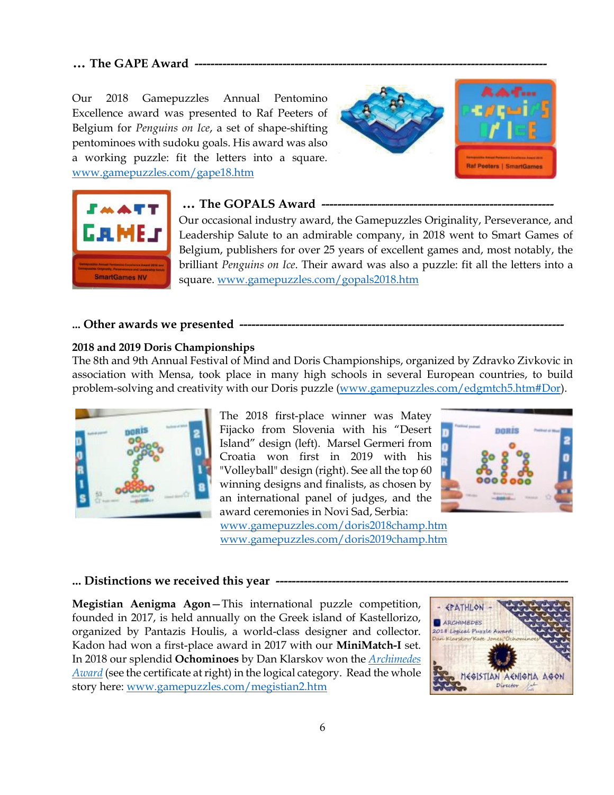### … The GAPE Award

Our 2018 Gamepuzzles Annual Pentomino Excellence award was presented to Raf Peeters of Belgium for *Penguins on Ice*, a set of shape-shifting pentominoes with sudoku goals. His award was also a working puzzle: fit the letters into a square. [www.gamepuzzles.com/gape18.htm](http://www.gamepuzzles.com/gape18.htm)





#### ... The GOPALS Award .

Our occasional industry award, the Gamepuzzles Originality, Perseverance, and Leadership Salute to an admirable company, in 2018 went to Smart Games of Belgium, publishers for over 25 years of excellent games and, most notably, the brilliant *Penguins on Ice*. Their award was also a puzzle: fit all the letters into a square. [www.gamepuzzles.com/gopals2018.htm](http://www.gamepuzzles.com/gopals2018.htm)

#### **... Other awards we presented ---------------------------------------------------------------------------------**

#### **2018 and 2019 Doris Championships**

The 8th and 9th Annual Festival of Mind and Doris Championships, organized by Zdravko Zivkovic in association with Mensa, took place in many high schools in several European countries, to build problem-solving and creativity with our [Doris](file:///C:/Users/Kate/Documents/kadonweb/website/edgmtch5.htm%23Dor) puzzle [\(www.gamepuzzles.com/edgmtch5.htm#Dor\)](http://www.gamepuzzles.com/edgmtch5.htm#Dor).



The 2018 first-place winner was Matey Fijacko from Slovenia with his "Desert Island" design (left). Marsel Germeri from Croatia won first in 2019 with his "Volleyball" design (right). See all the top 60 winning designs and finalists, as chosen by an international panel of judges, and the award ceremonies in Novi Sad, Serbia: [www.gamepuzzles.com/doris2018champ.htm](http://www.gamepuzzles.com/doris2018champ.htm)

[www.gamepuzzles.com/doris2019champ.htm](http://www.gamepuzzles.com/doris2019champ.htm)



#### ... Distinctions we received this year -

**Megistian Aenigma Agon**—This international puzzle competition, founded in 2017, is held annually on the Greek island of Kastellorizo, organized by Pantazis Houlis, a world-class designer and collector. Kadon had won a first-place award in 2017 with our **MiniMatch-I** set. In 2018 our splendid **Ochominoes** by Dan Klarskov won the *[Archimedes](http://www.gamepuzzles.com/megistian.htm) [Award](http://www.gamepuzzles.com/megistian.htm)* (see the certificate at right) in the logical category. Read the whole story here: [www.gamepuzzles.com/megistian2.htm](http://www.gamepuzzles.com/megistian2.htm)

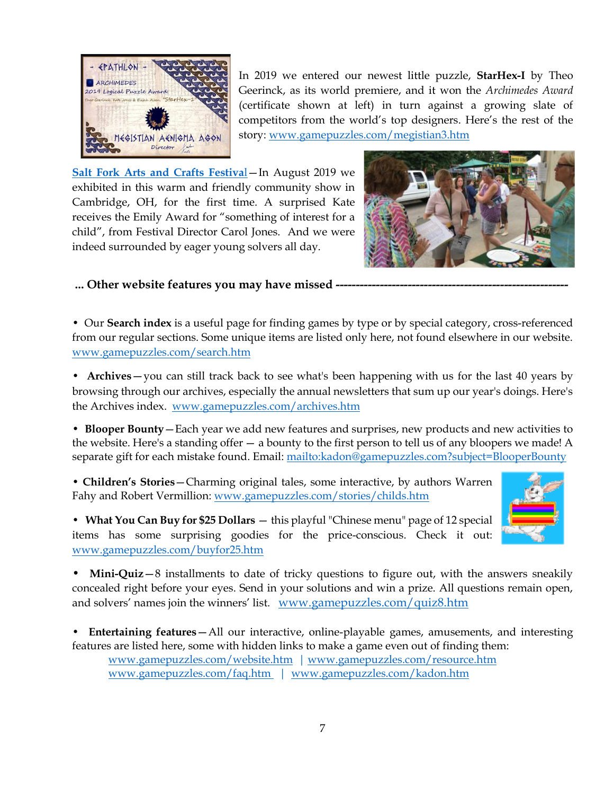

In 2019 we entered our newest little puzzle, **StarHex-I** by Theo Geerinck, as its world premiere, and it won the *Archimedes Award* (certificate shown at left) in turn against a growing slate of competitors from the world's top designers. Here's the rest of the story: [www.gamepuzzles.com/megistian3.htm](http://www.gamepuzzles.com/megistian3.htm)

**[Salt Fork Arts and Crafts Festiva](https://www.saltforkfestival.org/)**[l](https://www.saltforkfestival.org/)—In August 2019 we exhibited in this warm and friendly community show in Cambridge, OH, for the first time. A surprised Kate receives the Emily Award for "something of interest for a child", from Festival Director Carol Jones. And we were indeed surrounded by eager young solvers all day.



... Other website features you may have missed -----

• Our **Search index** is a useful page for finding games by type or by special category, cross-referenced from our regular sections. Some unique items are listed only here, not found elsewhere in our website. [www.gamepuzzles.com/search.htm](http://www.gamepuzzles.com/search.htm)

• **Archives**—you can still track back to see what's been happening with us for the last 40 years by browsing through our archives, especially the annual newsletters that sum up our year's doings. Here's the Archives index. [www.gamepuzzles.com/archives.htm](http://www.gamepuzzles.com/archives.htm)

• **Blooper Bounty**—Each year we add new features and surprises, new products and new activities to the website. Here's a standing offer— a bounty to the first person to tell us of any bloopers we made! A separate gift for each mistake found. Email: <mailto:kadon@gamepuzzles.com?subject=BlooperBounty>

• **Children's Stories**—Charming original tales, some interactive, by authors Warren Fahy and Robert Vermillion: [www.gamepuzzles.com/stories/childs.htm](http://www.gamepuzzles.com/stories/childs.htm)



• **What You Can Buy for \$25 Dollars** — this playful "Chinese menu" page of 12 special items has some surprising goodies for the price-conscious. Check it out: [www.gamepuzzles.com/buyfor25.htm](http://www.gamepuzzles.com/buyfor25.htm)

• **Mini-Quiz**—8 installments to date of tricky questions to figure out, with the answers sneakily concealed right before your eyes. Send in your solutions and win a prize. All questions remain open, and solvers' names join the winners' list. [www.gamepuzzles.com/quiz8.htm](http://www.gamepuzzles.com/quiz8.htm)

• **Entertaining features**—All our interactive, online-playable games, amusements, and interesting features are listed here, some with hidden links to make a game even out of finding them: www.gamepuzzles.com/website.htm | www.gamepuzzles.com/resource.htm www.gamepuzzles.com/faq.htm | [www.gamepuzzles.com/kadon.htm](http://www.gamepuzzles.com/kadon.htm)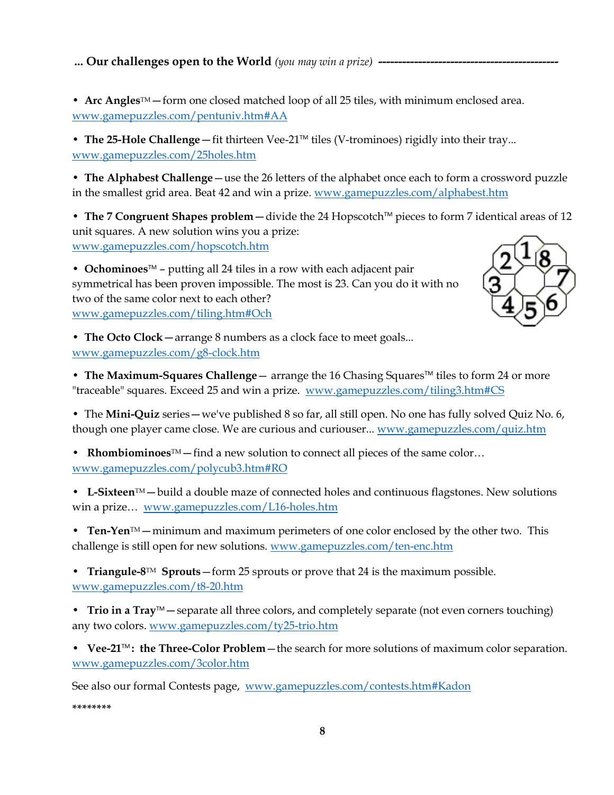**... Our challenges open to the World** (you may win a prize) **-**

• Arc Angles<sup>TM</sup> — form one closed matched loop of all 25 tiles, with minimum enclosed area. [www.gamepuzzles.com/pentuniv.htm#AA](http://www.gamepuzzles.com/pentuniv.htm#AA)

• The 25-Hole Challenge — fit thirteen Vee-21<sup>TM</sup> tiles (V-trominoes) rigidly into their tray... [www.gamepuzzles.com/25holes.htm](http://www.gamepuzzles.com/25holes.htm)

• **The Alphabest Challenge**—use the 26 letters of the alphabet once each to form a crossword puzzle in the smallest grid area. Beat 42 and win a prize. [www.gamepuzzles.com/alphabest.htm](http://www.gamepuzzles.com/alphabest.htm)

• The 7 Congruent Shapes problem – divide the 24 Hopscotch™ pieces to form 7 identical areas of 12 unit squares. A new solution wins you a prize: [www.gamepuzzles.com/hopscotch.htm](http://www.gamepuzzles.com/hopscotch.htm)

**• Ochominoes**™ – putting all 24 tiles in a row with each adjacent pair symmetrical has been proven impossible. The most is 23. Can you do it with no two of the same color next to each other? [www.gamepuzzles.com/tiling.htm#Och](http://www.gamepuzzles.com/tiling.htm#Och)



• **The Octo Clock**—arrange 8 numbers as a clock face to meet goals... [www.gamepuzzles.com/g8-clock.htm](http://www.gamepuzzles.com/g8-clock.htm)

• **[The Maximum-Squares Challenge](file:///C:/Users/Kate/Documents/kadonweb/website/tiling3.htm%23CS)** — arrange the 16 Chasing Squares<sup>™</sup> tiles to form 24 or more "traceable" squares. Exceed 25 and win a prize. [www.gamepuzzles.com/tiling3.htm#CS](http://www.gamepuzzles.com/tiling3.htm#CS)

• The **Mini-Quiz** series—we've published 8 so far, all still open. No one has fully solved Quiz No. 6, though one player came close. We are curious and curiouser... [www.gamepuzzles.com/quiz.htm](http://www.gamepuzzles.com/quiz.htm)

• **Rhombiominoes**TM—find a new solution to connect all pieces of the same color… [www.gamepuzzles.com/polycub3.htm#RO](http://www.gamepuzzles.com/polycub3.htm#RO)

• **L-Sixteen**TM—build a double maze of connected holes and continuous flagstones. New solutions win a prize… [www.gamepuzzles.com/L16-holes.htm](http://www.gamepuzzles.com/L16-holes.htm)

• **Ten-Yen**<sup>TM</sup> — minimum and maximum perimeters of one color enclosed by the other two. This challenge is still open for new solutions. [www.gamepuzzles.com/ten-enc.htm](http://www.gamepuzzles.com/ten-enc.htm)

• **Triangule-8**TM **Sprouts**—form 25 sprouts or prove that 24 is the maximum possible. [www.gamepuzzles.com/t8-20.htm](http://www.gamepuzzles.com/t8-20.htm)

• **Trio in a Tray™**—separate all three colors, and completely separate (not even corners touching) any two colors. [www.gamepuzzles.com/ty25-trio.htm](http://www.gamepuzzles.com/ty25-trio.htm)

• **Vee-21**TM **: the Three-Color Problem**—the search for more solutions of maximum color separation. [www.gamepuzzles.com/3color.htm](http://www.gamepuzzles.com/3color.htm)

See also our formal Contests page, [www.gamepuzzles.com/contests.htm#Kadon](http://www.gamepuzzles.com/contests.htm#Kadon)

**\*\*\*\*\*\*\*\***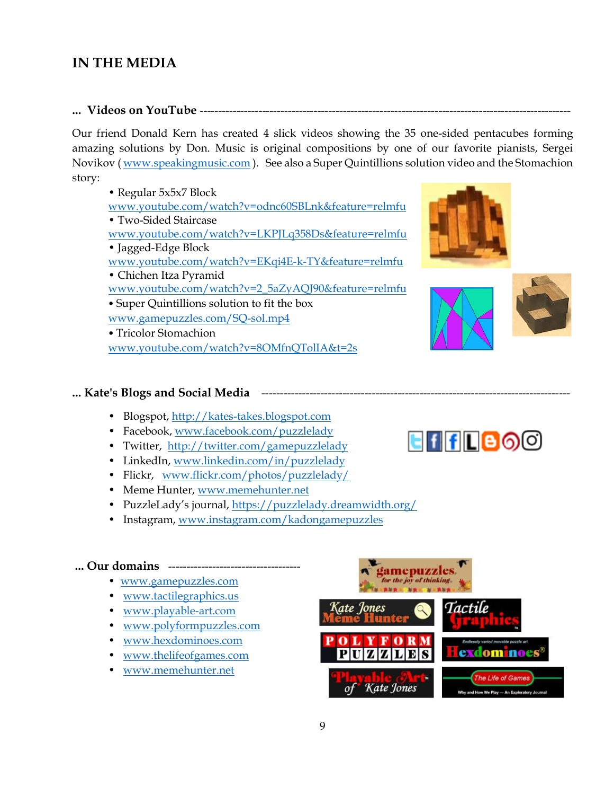## **IN THE MEDIA**

**... Videos on YouTube** -----------------------------------------------------------------------------------------------------

Our friend Donald Kern has created 4 slick videos showing the 35 one-sided pentacubes forming amazing solutions by Don. Music is original compositions by one of our favorite pianists, Sergei Novikov ( [www.speakingmusic.com](http://www.speakingmusic.com/) ). See also a Super Quintillions solution video and the Stomachion story:

• Regular 5x5x7 Block [www.youtube.com/watch?v=odnc60SBLnk&feature=relmfu](http://www.youtube.com/watch?v=odnc60SBLnk&feature=relmfu) • Two-Sided Staircase [www.youtube.com/watch?v=LKPJLq358Ds&feature=relmfu](http://www.youtube.com/watch?v=LKPJLq358Ds&feature=relmfu) • Jagged-Edge Block [www.youtube.com/watch?v=EKqi4E-k-TY&feature=relmfu](http://www.youtube.com/watch?v=EKqi4E-k-TY&feature=relmfu) • Chichen Itza Pyramid [www.youtube.com/watch?v=2\\_5aZyAQJ90&feature=relmfu](http://www.youtube.com/watch?v=2_5aZyAQJ90&feature=relmfu) • Super Quintillions solution to fit the box [www.gamepuzzles.com/SQ-sol.mp4](http://www.gamepuzzles.com/SQ-sol.mp4) • Tricolor Stomachion

[www.youtube.com/watch?v=8OMfnQTolIA&t=2s](http://www.youtube.com/watch?v=8OMfnQTolIA&t=2s)

### ... Kate's Blogs and Social Media **-------**

- Blogspot, [http://kates-takes.blogspot.com](http://kates-takes.blogspot.com/)
- Facebook, [www.facebook.com/puzzlelady](http://www.facebook.com/puzzlelady)
- Twitter, <http://twitter.com/gamepuzzlelady>
- LinkedIn, [www.linkedin.com/in/puzzlelady](http://www.linkedin.com/in/puzzlelady)
- Flickr, [www.flickr.com/photos/puzzlelady/](http://www.flickr.com/photos/puzzlelady/)
- Meme Hunter, [www.memehunter.net](http://www.memehunter.net/)
- PuzzleLady's journal,<https://puzzlelady.dreamwidth.org/>
- Instagram, [www.instagram.com/kadongamepuzzles](http://www.instagram.com/kadongamepuzzles)

#### **... Our domains** ------------------------------------

- [www.gamepuzzles.com](http://www.gamepuzzles.com/)
- [www.tactilegraphics.us](http://www.tactilegraphics.us/)
- [www.playable-art.com](http://www.playable-art.com/)
- [www.polyformpuzzles.com](http://www.polyformpuzzles.com/)
- [www.hexdominoes.com](http://www.hexdominoes.com/)
- [www.thelifeofgames.com](http://www.thelifeofgames.com/)
- [www.memehunter.net](http://www.memehunter.net/)







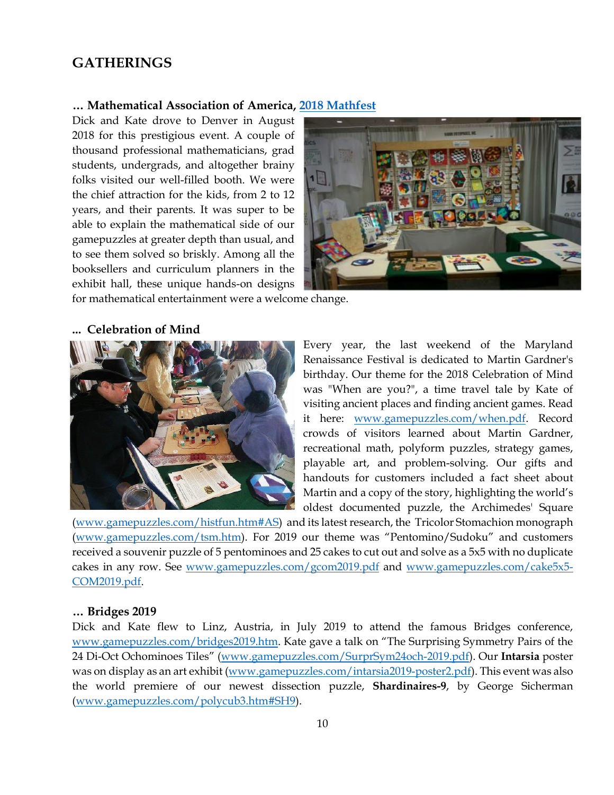## **GATHERINGS**

#### **… Mathematical Association of America, [2018 Mathfest](http://www.maa.org/)**

Dick and Kate drove to Denver in August 2018 for this prestigious event. A couple of thousand professional mathematicians, grad students, undergrads, and altogether brainy folks visited our well-filled booth. We were the chief attraction for the kids, from 2 to 12 years, and their parents. It was super to be able to explain the mathematical side of our gamepuzzles at greater depth than usual, and to see them solved so briskly. Among all the booksellers and curriculum planners in the exhibit hall, these unique hands-on designs



for mathematical entertainment were a welcome change.

## **... Celebration of Mind**



Every year, the last weekend of the Maryland Renaissance Festival is dedicated to Martin Gardner's birthday. Our theme for the 2018 Celebration of Mind was "When are you?", a time travel tale by Kate of visiting ancient places and finding ancient games. Read it here: [www.gamepuzzles.com/when.pdf.](http://www.gamepuzzles.com/when.pdf) Record crowds of visitors learned about Martin Gardner, recreational math, polyform puzzles, strategy games, playable art, and problem-solving. Our gifts and handouts for customers included a fact sheet about Martin and a copy of the story, highlighting the world's oldest documented puzzle, the Archimedes' Square

[\(www.gamepuzzles.com/histfun.htm#AS\)](http://www.gamepuzzles.com/histfun.htm#AS) and its latest research, the Tricolor Stomachion monograph [\(www.gamepuzzles.com/tsm.htm](http://www.gamepuzzles.com/tsm.htm)). For 2019 our theme was "Pentomino/Sudoku" and customers received a souvenir puzzle of 5 pentominoes and 25 cakes to cut out and solve as a 5x5 with no duplicate cakes in any row. See [www.gamepuzzles.com/gcom2019.pdf](http://www.gamepuzzles.com/gcom2019.pdf) and [www.gamepuzzles.com/cake5x5-](http://www.gamepuzzles.com/cake5x5-COM2019.pdf) [COM2019.pdf.](http://www.gamepuzzles.com/cake5x5-COM2019.pdf)

#### **… Bridges 2019**

Dick and Kate flew to Linz, Austria, in July 2019 to attend the famous Bridges conference, [www.gamepuzzles.com/bridges2019.htm.](http://www.gamepuzzles.com/bridges2019.htm) Kate gave a talk on "The Surprising Symmetry Pairs of the 24 Di-Oct Ochominoes Tiles" ([www.gamepuzzles.com/SurprSym24och-2019.pdf\)](http://www.gamepuzzles.com/SurprSym24och-2019.pdf). Our **Intarsia** poster was on display as an art exhibit [\(www.gamepuzzles.com/intarsia2019-poster2.pdf\)](http://www.gamepuzzles.com/intarsia2019-poster2.pdf). This event was also the world premiere of our newest dissection puzzle, **Shardinaires-9**, by George Sicherman [\(www.gamepuzzles.com/polycub3.htm#SH9\)](http://www.gamepuzzles.com/polycub3.htm#SH9).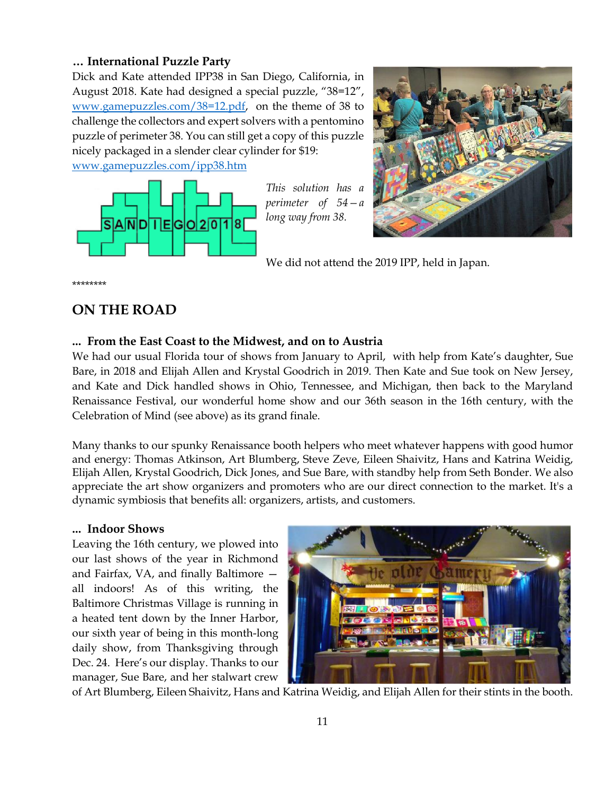### **… International Puzzle Party**

Dick and Kate attended IPP38 in San Diego, California, in August 2018. Kate had designed a special puzzle, "38=12", [www.gamepuzzles.com/38=12.pdf,](http://www.gamepuzzles.com/38=12.pdf) on the theme of 38 to challenge the collectors and expert solvers with a pentomino puzzle of perimeter 38. You can still get a copy of this puzzle nicely packaged in a slender clear cylinder for \$19: [www.gamepuzzles.com/ipp38.htm](http://www.gamepuzzles.com/ipp38.htm) 



*This solution has a perimeter of 54—a long way from 38.*



We did not attend the 2019 IPP, held in Japan.

\*\*\*\*\*\*\*\*

## **ON THE ROAD**

### **... From the East Coast to the Midwest, and on to Austria**

We had our usual Florida tour of shows from January to April, with help from Kate's daughter, Sue Bare, in 2018 and Elijah Allen and Krystal Goodrich in 2019. Then Kate and Sue took on New Jersey, and Kate and Dick handled shows in Ohio, Tennessee, and Michigan, then back to the Maryland Renaissance Festival, our wonderful home show and our 36th season in the 16th century, with the Celebration of Mind (see above) as its grand finale.

Many thanks to our spunky Renaissance booth helpers who meet whatever happens with good humor and energy: Thomas Atkinson, Art Blumberg, Steve Zeve, Eileen Shaivitz, Hans and Katrina Weidig, Elijah Allen, Krystal Goodrich, Dick Jones, and Sue Bare, with standby help from Seth Bonder. We also appreciate the art show organizers and promoters who are our direct connection to the market. It's a dynamic symbiosis that benefits all: organizers, artists, and customers.

### **... Indoor Shows**

Leaving the 16th century, we plowed into our last shows of the year in Richmond and Fairfax, VA, and finally Baltimore all indoors! As of this writing, the Baltimore Christmas Village is running in a heated tent down by the Inner Harbor, our sixth year of being in this month-long daily show, from Thanksgiving through Dec. 24. Here's our display. Thanks to our manager, Sue Bare, and her stalwart crew



of Art Blumberg, Eileen Shaivitz, Hans and Katrina Weidig, and Elijah Allen for their stints in the booth.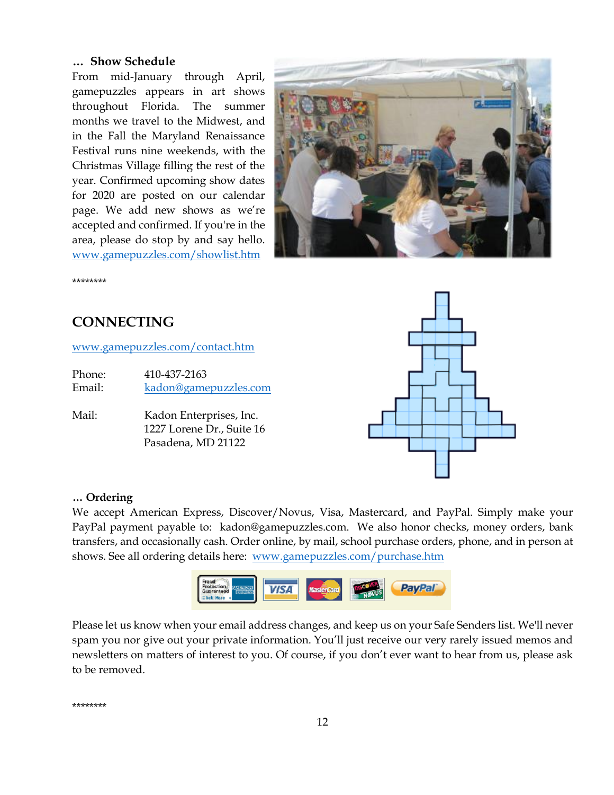### **… Show Schedule**

From mid-January through April, gamepuzzles appears in art shows throughout Florida. The summer months we travel to the Midwest, and in the Fall the Maryland Renaissance Festival runs nine weekends, with the Christmas Village filling the rest of the year. Confirmed upcoming show dates for 2020 are posted on our calendar page. We add new shows as we're accepted and confirmed. If you're in the area, please do stop by and say hello. [www.gamepuzzles.com/showlist.htm](http://www.gamepuzzles.com/showlist.htm)



\*\*\*\*\*\*\*\*

## **CONNECTING**

[www.gamepuzzles.com/contact.htm](http://www.gamepuzzles.com/contact.htm)

Phone: 410-437-2163 Email: [kadon@gamepuzzles.com](mailto:kadon@gamepuzzles.com)

Mail: Kadon Enterprises, Inc. 1227 Lorene Dr., Suite 16 Pasadena, MD 21122



#### **… Ordering**

We accept American Express, Discover/Novus, Visa, Mastercard, and PayPal. Simply make your PayPal payment payable to: kadon@gamepuzzles.com. We also honor checks, money orders, bank transfers, and occasionally cash. Order online, by mail, school purchase orders, phone, and in person at shows. See all ordering details here: [www.gamepuzzles.com/purchase.htm](http://www.gamepuzzles.com/purchase.htm)



Please let us know when your email address changes, and keep us on your Safe Senders list. We'll never spam you nor give out your private information. You'll just receive our very rarely issued memos and newsletters on matters of interest to you. Of course, if you don't ever want to hear from us, please ask to be removed.

\*\*\*\*\*\*\*\*